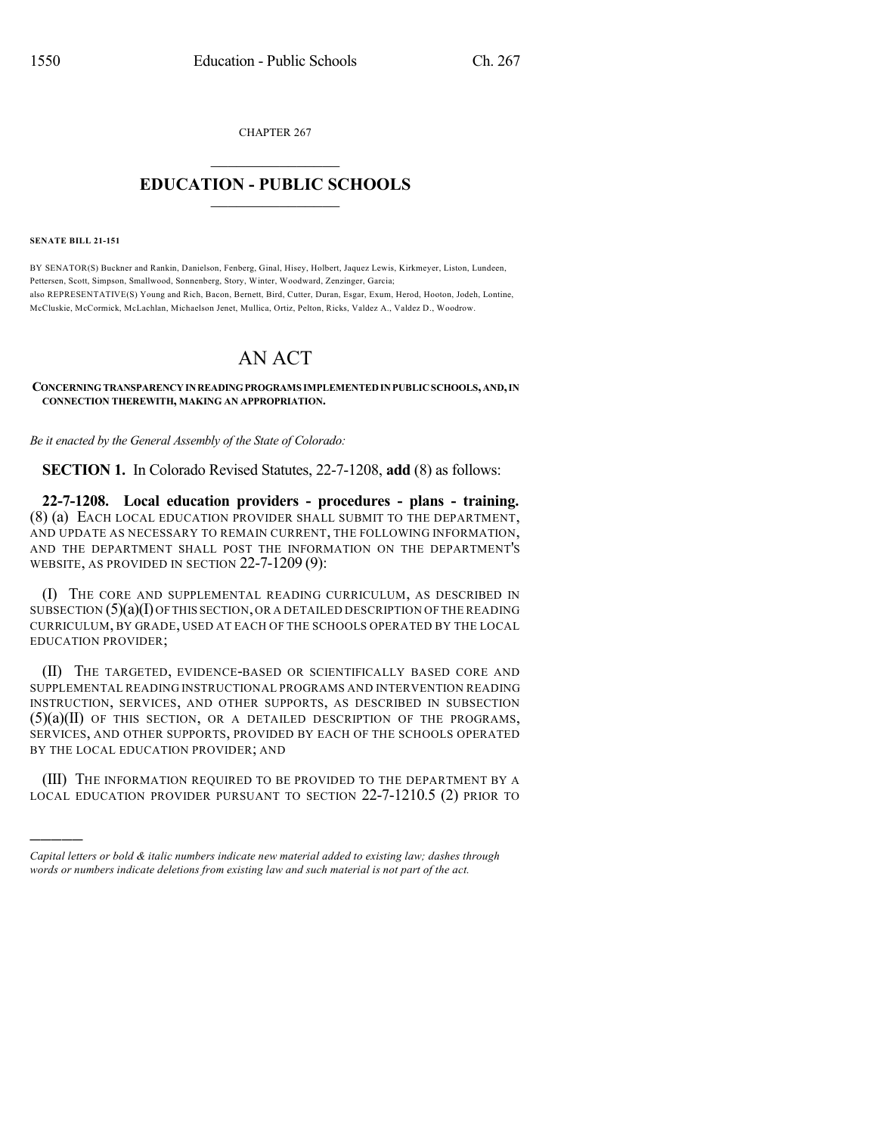CHAPTER 267

## $\overline{\phantom{a}}$  . The set of the set of the set of the set of the set of the set of the set of the set of the set of the set of the set of the set of the set of the set of the set of the set of the set of the set of the set o **EDUCATION - PUBLIC SCHOOLS**  $\_$   $\_$   $\_$   $\_$   $\_$   $\_$   $\_$   $\_$   $\_$

**SENATE BILL 21-151**

)))))

BY SENATOR(S) Buckner and Rankin, Danielson, Fenberg, Ginal, Hisey, Holbert, Jaquez Lewis, Kirkmeyer, Liston, Lundeen, Pettersen, Scott, Simpson, Smallwood, Sonnenberg, Story, Winter, Woodward, Zenzinger, Garcia; also REPRESENTATIVE(S) Young and Rich, Bacon, Bernett, Bird, Cutter, Duran, Esgar, Exum, Herod, Hooton, Jodeh, Lontine, McCluskie, McCormick, McLachlan, Michaelson Jenet, Mullica, Ortiz, Pelton, Ricks, Valdez A., Valdez D., Woodrow.

## AN ACT

## **CONCERNINGTRANSPARENCYINREADINGPROGRAMS IMPLEMENTEDINPUBLICSCHOOLS,AND,IN CONNECTION THEREWITH, MAKING AN APPROPRIATION.**

*Be it enacted by the General Assembly of the State of Colorado:*

**SECTION 1.** In Colorado Revised Statutes, 22-7-1208, **add** (8) as follows:

**22-7-1208. Local education providers - procedures - plans - training.** (8) (a) EACH LOCAL EDUCATION PROVIDER SHALL SUBMIT TO THE DEPARTMENT, AND UPDATE AS NECESSARY TO REMAIN CURRENT, THE FOLLOWING INFORMATION, AND THE DEPARTMENT SHALL POST THE INFORMATION ON THE DEPARTMENT'S WEBSITE, AS PROVIDED IN SECTION 22-7-1209 (9):

(I) THE CORE AND SUPPLEMENTAL READING CURRICULUM, AS DESCRIBED IN SUBSECTION  $(5)(a)(I)$  OF THIS SECTION, OR A DETAILED DESCRIPTION OF THE READING CURRICULUM, BY GRADE, USED AT EACH OF THE SCHOOLS OPERATED BY THE LOCAL EDUCATION PROVIDER;

(II) THE TARGETED, EVIDENCE-BASED OR SCIENTIFICALLY BASED CORE AND SUPPLEMENTAL READING INSTRUCTIONAL PROGRAMS AND INTERVENTION READING INSTRUCTION, SERVICES, AND OTHER SUPPORTS, AS DESCRIBED IN SUBSECTION  $(5)(a)(II)$  of this section, or a detailed description of the programs, SERVICES, AND OTHER SUPPORTS, PROVIDED BY EACH OF THE SCHOOLS OPERATED BY THE LOCAL EDUCATION PROVIDER; AND

(III) THE INFORMATION REQUIRED TO BE PROVIDED TO THE DEPARTMENT BY A LOCAL EDUCATION PROVIDER PURSUANT TO SECTION 22-7-1210.5 (2) PRIOR TO

*Capital letters or bold & italic numbers indicate new material added to existing law; dashes through words or numbers indicate deletions from existing law and such material is not part of the act.*